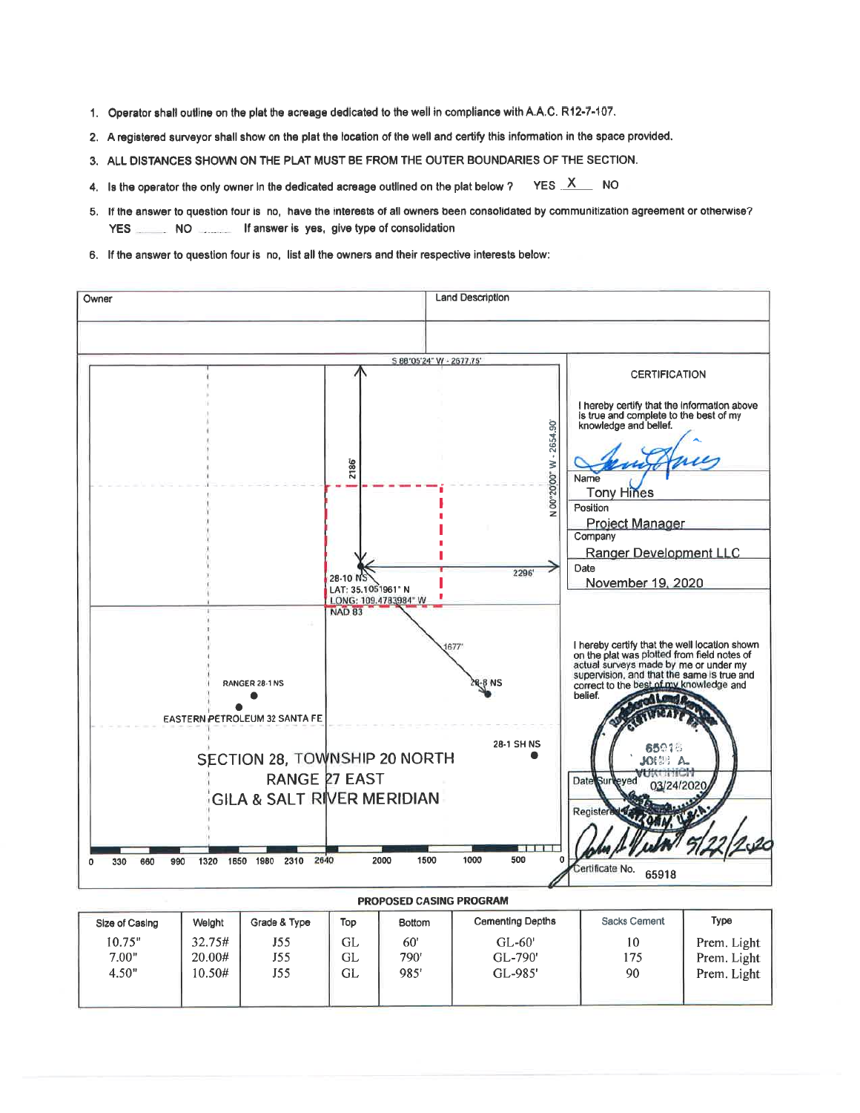- 1. Operator shall outline on the plat the acreage dedicated to the well in compliance with A.A.C. R12-7-107.
- 2. A registered surveyor shall show on the plat the location of the well and certify this information in the space provided.
- 3. ALL DISTANCES SHOWN ON THE PLAT MUST BE FROM THE OUTER BOUNDARIES OF THE SECTION.
- YES  $X$  NO 4. Is the operator the only owner in the dedicated acreage outlined on the plat below ?
- 5. If the answer to question four is no, have the interests of all owners been consolidated by communitization agreement or otherwise? **YES** NO **If answer is yes, give type of consolidation**
- 6. If the answer to question four is no, list all the owners and their respective interests below:

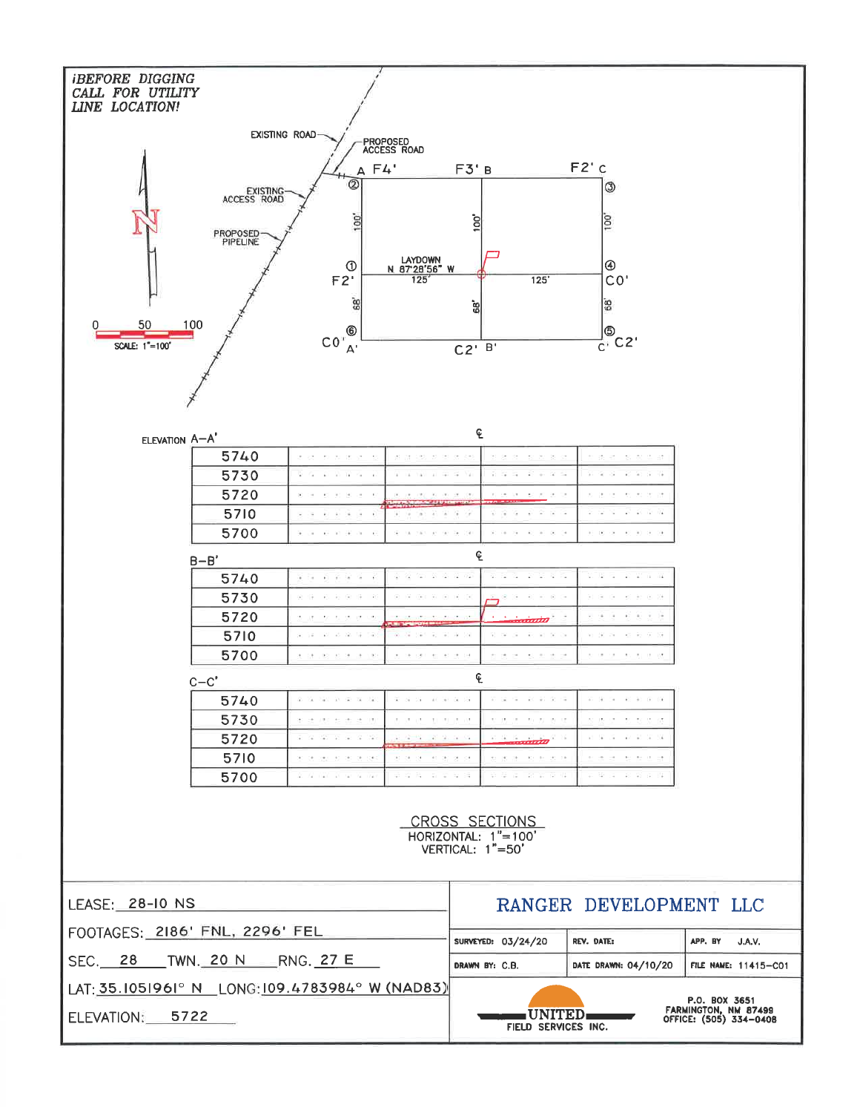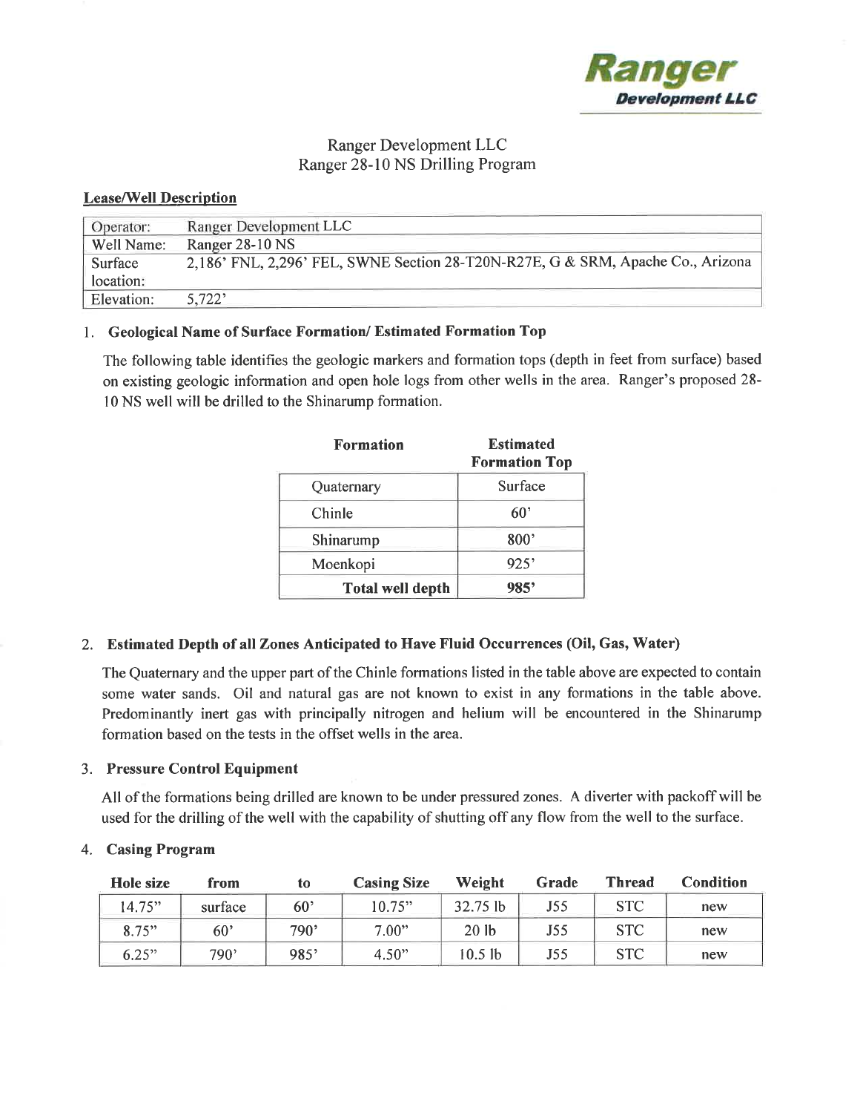

# Ranger Development LLC Ranger 28-10 NS Drilling Program

## **Lease/Well Description**

| Operator:  | Ranger Development LLC                                                          |
|------------|---------------------------------------------------------------------------------|
| Well Name: | Ranger 28-10 NS                                                                 |
| Surface    | 2,186' FNL, 2,296' FEL, SWNE Section 28-T20N-R27E, G & SRM, Apache Co., Arizona |
| location:  |                                                                                 |
| Elevation: | 5,722'                                                                          |

# 1. Geological Name of Surface Formation/Estimated Formation Top

The following table identifies the geologic markers and formation tops (depth in feet from surface) based on existing geologic information and open hole logs from other wells in the area. Ranger's proposed 28-10 NS well will be drilled to the Shinarump formation.

| <b>Formation</b>        | <b>Estimated</b><br><b>Formation Top</b> |  |
|-------------------------|------------------------------------------|--|
| Quaternary              | Surface                                  |  |
| Chinle                  | $60^{\circ}$                             |  |
| Shinarump               | 800'                                     |  |
| Moenkopi                | 925'                                     |  |
| <b>Total well depth</b> | 985'                                     |  |

# 2. Estimated Depth of all Zones Anticipated to Have Fluid Occurrences (Oil, Gas, Water)

The Quaternary and the upper part of the Chinle formations listed in the table above are expected to contain some water sands. Oil and natural gas are not known to exist in any formations in the table above. Predominantly inert gas with principally nitrogen and helium will be encountered in the Shinarump formation based on the tests in the offset wells in the area.

## 3. Pressure Control Equipment

All of the formations being drilled are known to be under pressured zones. A diverter with packoff will be used for the drilling of the well with the capability of shutting off any flow from the well to the surface.

## 4. Casing Program

| Hole size | from    | to              | <b>Casing Size</b> | Weight           | Grade | <b>Thread</b> | Condition |
|-----------|---------|-----------------|--------------------|------------------|-------|---------------|-----------|
| 14.75"    | surface | 60 <sup>5</sup> | 10.75"             | $32.75$ lb       | J55   | <b>STC</b>    | new       |
| 8.75"     | 60'     | 790'            | 7.00"              | 20 <sub>1b</sub> | J55   | <b>STC</b>    | new       |
| 6.25"     | 790'    | 985'            | 4.50"              | $10.5$ lb        | J55   | <b>STC</b>    | new       |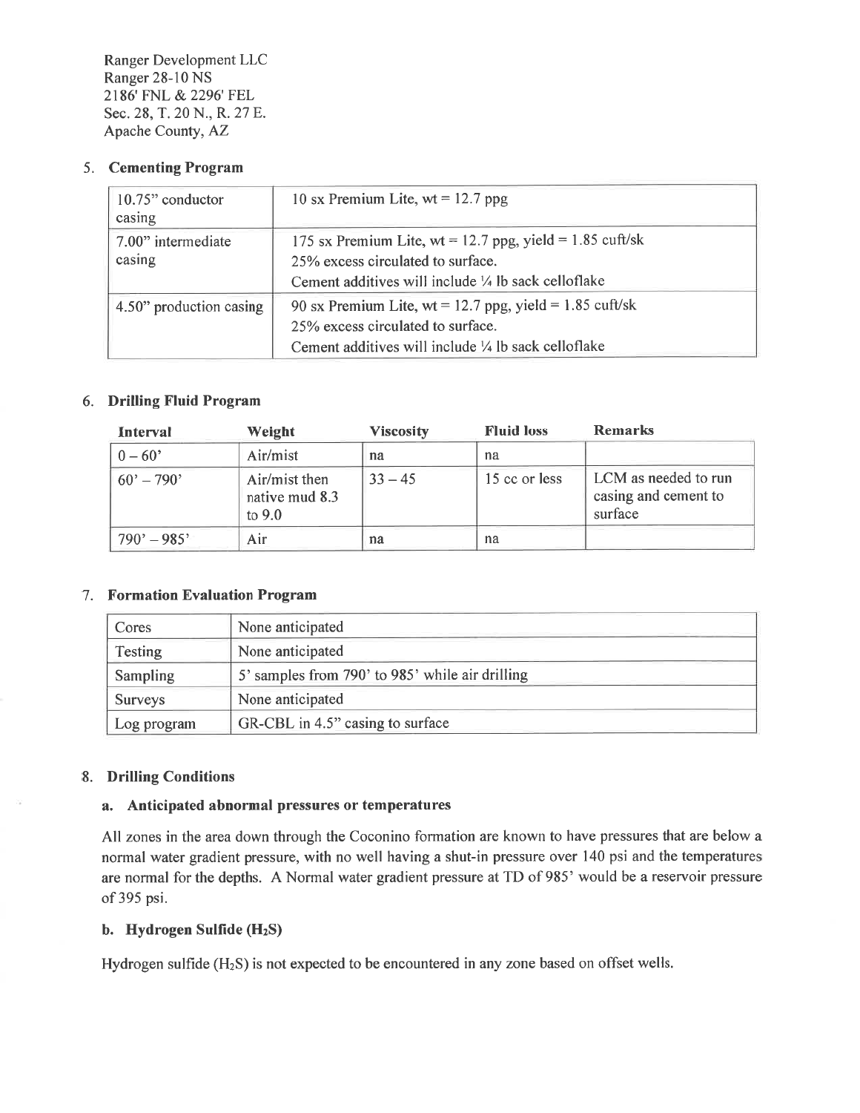# 5. Cementing Program

| 10.75" conductor<br>casing   | 10 sx Premium Lite, wt = 12.7 ppg                                                                                                                                |
|------------------------------|------------------------------------------------------------------------------------------------------------------------------------------------------------------|
| 7.00" intermediate<br>casing | 175 sx Premium Lite, wt = 12.7 ppg, yield = 1.85 cuft/sk<br>25% excess circulated to surface.<br>Cement additives will include 1/4 lb sack celloflake            |
| 4.50" production casing      | 90 sx Premium Lite, wt = 12.7 ppg, yield = 1.85 cuft/sk<br>25% excess circulated to surface.<br>Cement additives will include $\frac{1}{4}$ lb sack cell of lake |

# 6. Drilling Fluid Program

| Interval                   | Weight                                      | <b>Viscosity</b> | <b>Fluid loss</b> | <b>Remarks</b>                                          |
|----------------------------|---------------------------------------------|------------------|-------------------|---------------------------------------------------------|
| $0 - 60'$                  | Air/mist                                    | na               | na                |                                                         |
| $60^{\circ} - 790^{\circ}$ | Air/mist then<br>native mud 8.3<br>to $9.0$ | $33 - 45$        | 15 cc or less     | LCM as needed to run<br>casing and cement to<br>surface |
| $790' - 985'$              | Air                                         | na               | na                |                                                         |

# 7. Formation Evaluation Program

| Cores          | None anticipated                                |
|----------------|-------------------------------------------------|
| <b>Testing</b> | None anticipated                                |
| Sampling       | 5' samples from 790' to 985' while air drilling |
| <b>Surveys</b> | None anticipated                                |
| Log program    | GR-CBL in 4.5" casing to surface                |

## 8. Drilling Conditions

## a. Anticipated abnormal pressures or temperatures

All zones in the area down through the Coconino formation are known to have pressures that are below a normal water gradient pressure, with no well having a shut-in pressure over 140 psi and the temperatures are normal for the depths. A Normal water gradient pressure at TD of 985' would be a reservoir pressure of 395 psi.

# b. Hydrogen Sulfide (H<sub>2</sub>S)

Hydrogen sulfide  $(H_2S)$  is not expected to be encountered in any zone based on offset wells.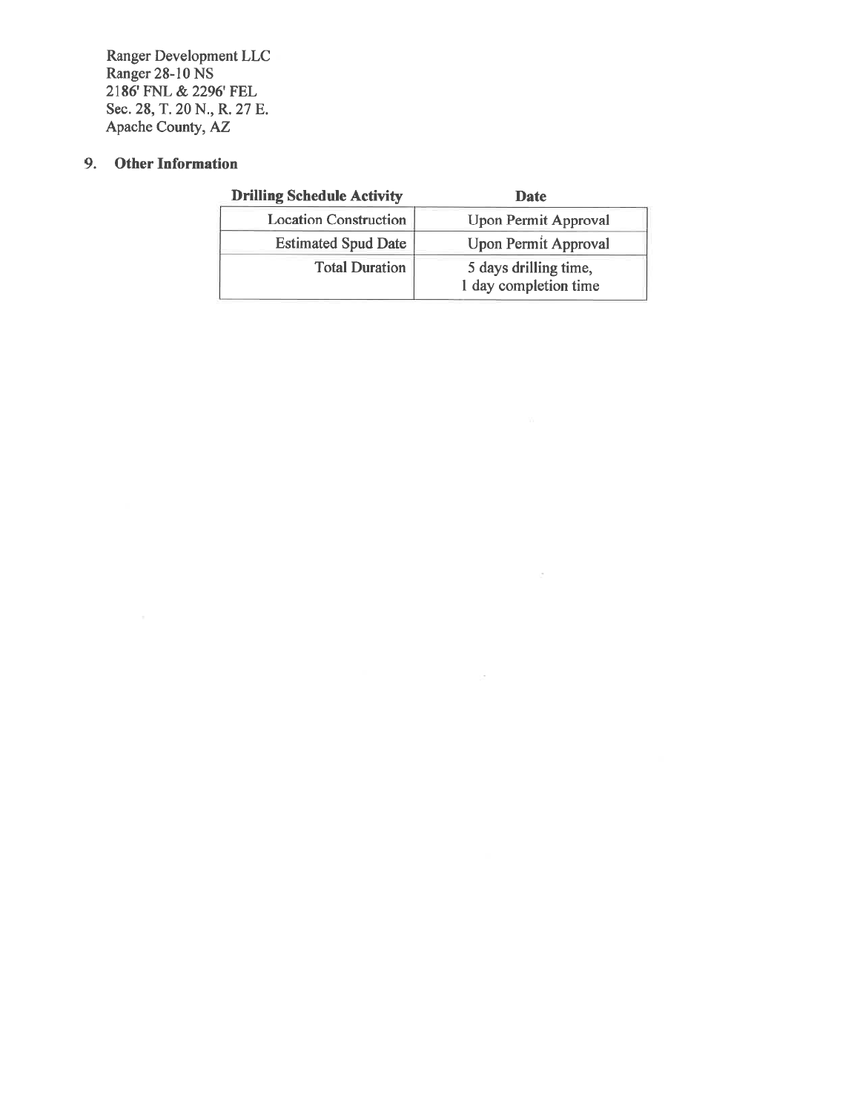# 9. Other Information

| <b>Drilling Schedule Activity</b> | <b>Date</b>                                    |
|-----------------------------------|------------------------------------------------|
| <b>Location Construction</b>      | <b>Upon Permit Approval</b>                    |
| <b>Estimated Spud Date</b>        | <b>Upon Permit Approval</b>                    |
| <b>Total Duration</b>             | 5 days drilling time,<br>1 day completion time |

 $\mathcal{C}$ 

 $\sim$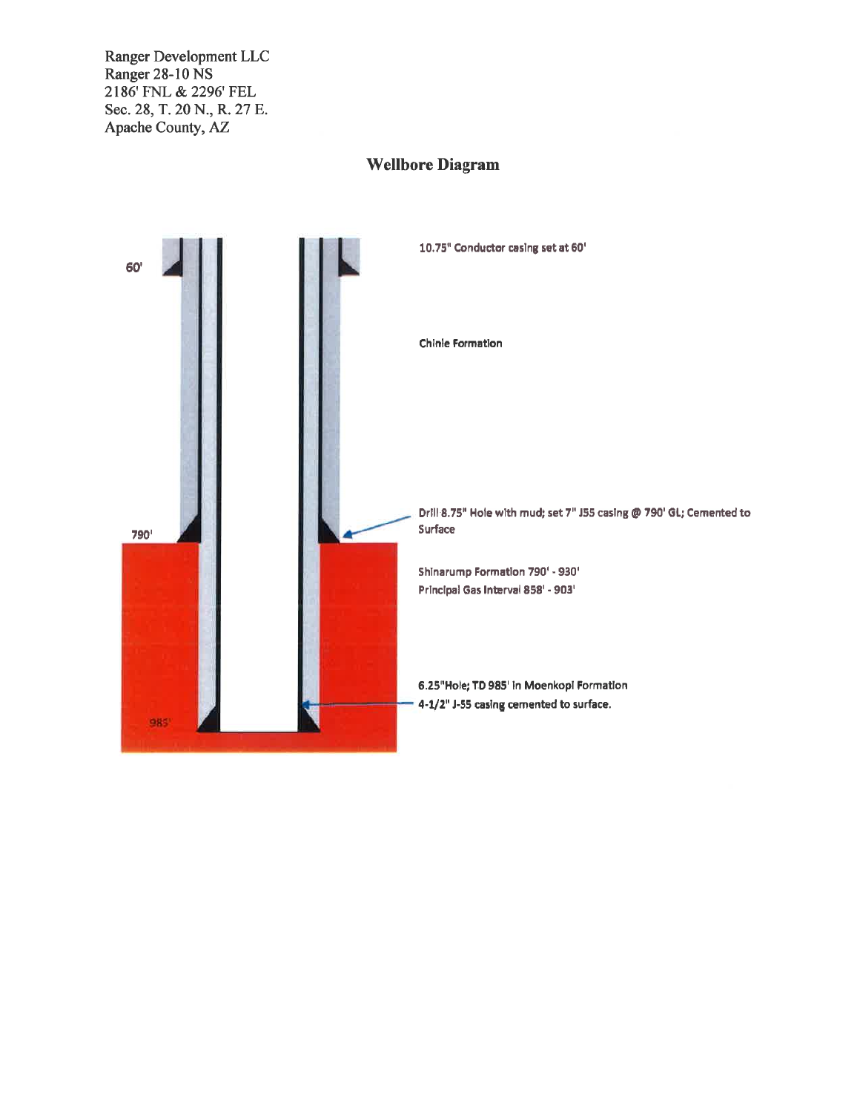# 10.75" Conductor casing set at 60' 60' Chinie Formation Drill 8.75" Hole with mud; set 7" J55 casing @ 790' GL; Cemented to Surface 790' Shinarump Formation 790' - 930' Principal Gas Interval 858' - 903' 6.25"Hole; TD 985' in Moenkopi Formation 4-1/2" J-55 casing cemented to surface. 985

# **Wellbore Diagram**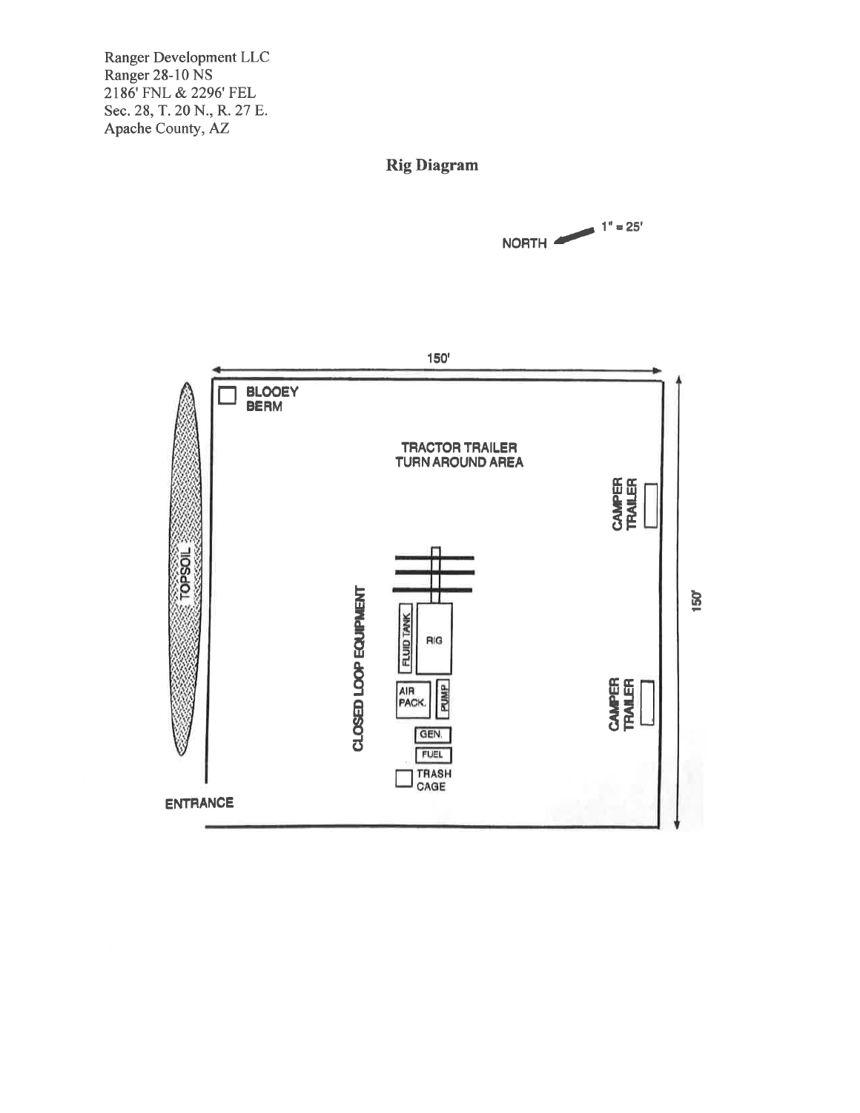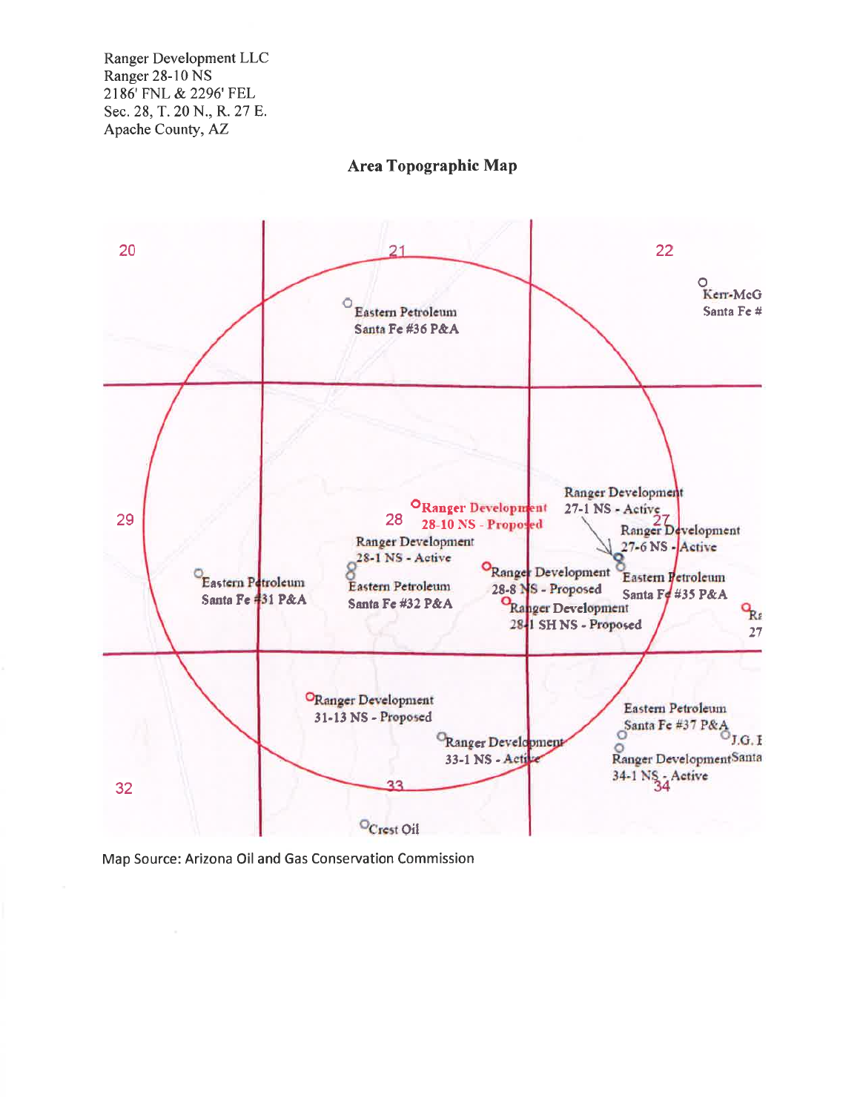

**Area Topographic Map** 

Map Source: Arizona Oil and Gas Conservation Commission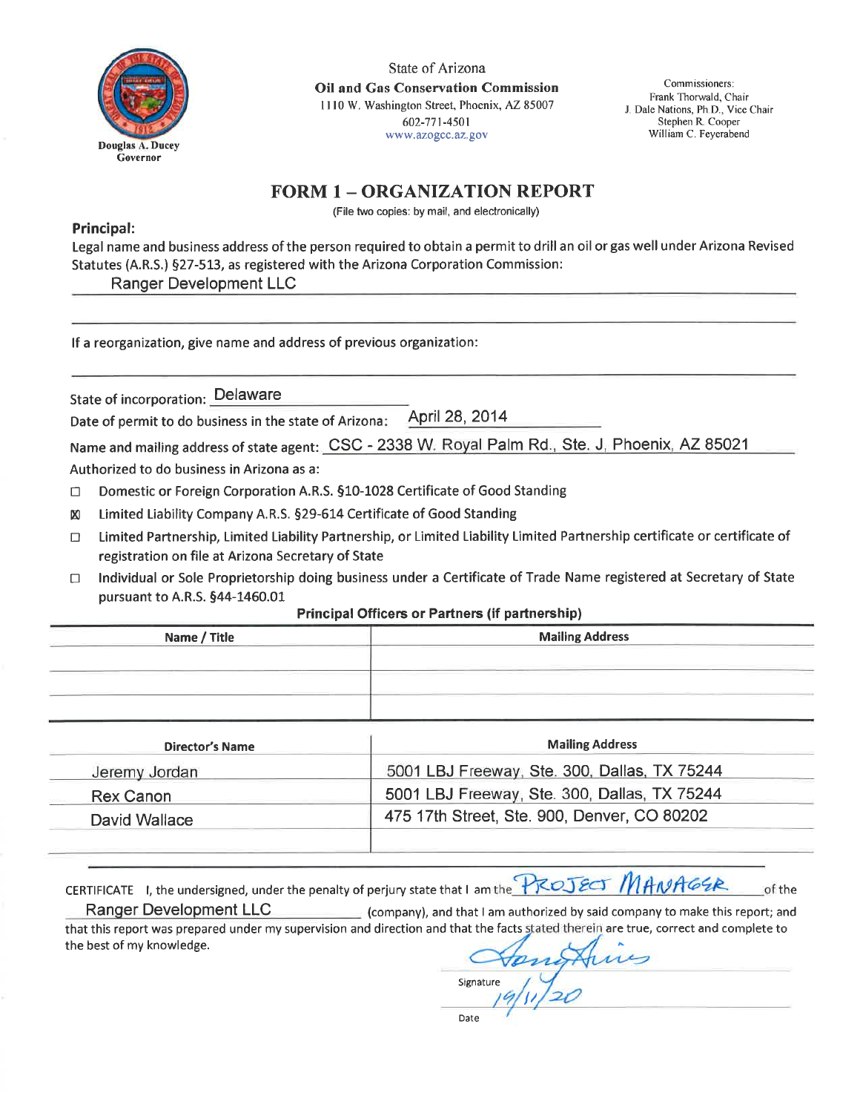

State of Arizona **Oil and Gas Conservation Commission** 1110 W. Washington Street, Phoenix, AZ 85007 602-771-4501 www.azogcc.az.gov

Commissioners: Frank Thorwald, Chair J. Dale Nations, Ph.D., Vice Chair Stephen R. Cooper William C. Feyerabend

# **FORM 1 - ORGANIZATION REPORT**

(File two copies: by mail, and electronically)

### Principal:

Legal name and business address of the person required to obtain a permit to drill an oil or gas well under Arizona Revised Statutes (A.R.S.) §27-513, as registered with the Arizona Corporation Commission:

**Ranger Development LLC** 

If a reorganization, give name and address of previous organization:

State of incorporation: Delaware

April 28, 2014 Date of permit to do business in the state of Arizona:

Name and mailing address of state agent: CSC - 2338 W. Royal Palm Rd., Ste. J. Phoenix, AZ 85021

Authorized to do business in Arizona as a:

- Domestic or Foreign Corporation A.R.S. §10-1028 Certificate of Good Standing  $\Box$
- Limited Liability Company A.R.S. §29-614 Certificate of Good Standing  $\boxtimes$
- Limited Partnership, Limited Liability Partnership, or Limited Liability Limited Partnership certificate or certificate of  $\Box$ registration on file at Arizona Secretary of State
- Individual or Sole Proprietorship doing business under a Certificate of Trade Name registered at Secretary of State  $\Box$ pursuant to A.R.S. §44-1460.01

#### **Principal Officers or Partners (if partnership)**

| Name / Title | <b>Mailing Address</b> |
|--------------|------------------------|
|              |                        |
|              |                        |
|              |                        |
|              |                        |

| <b>Director's Name</b> | <b>Mailing Address</b>                       |  |
|------------------------|----------------------------------------------|--|
| Jeremy Jordan          | 5001 LBJ Freeway, Ste. 300, Dallas, TX 75244 |  |
| Rex Canon              | 5001 LBJ Freeway, Ste. 300, Dallas, TX 75244 |  |
| David Wallace          | 475 17th Street, Ste. 900, Denver, CO 80202  |  |

CERTIFICATE I, the undersigned, under the penalty of perjury state that I am the **PROJECT** MANAGER of the

**Ranger Development LLC** (company), and that I am authorized by said company to make this report; and that this report was prepared under my supervision and direction and that the facts stated therein are true, correct and complete to the best of my knowledge.

Signature

Date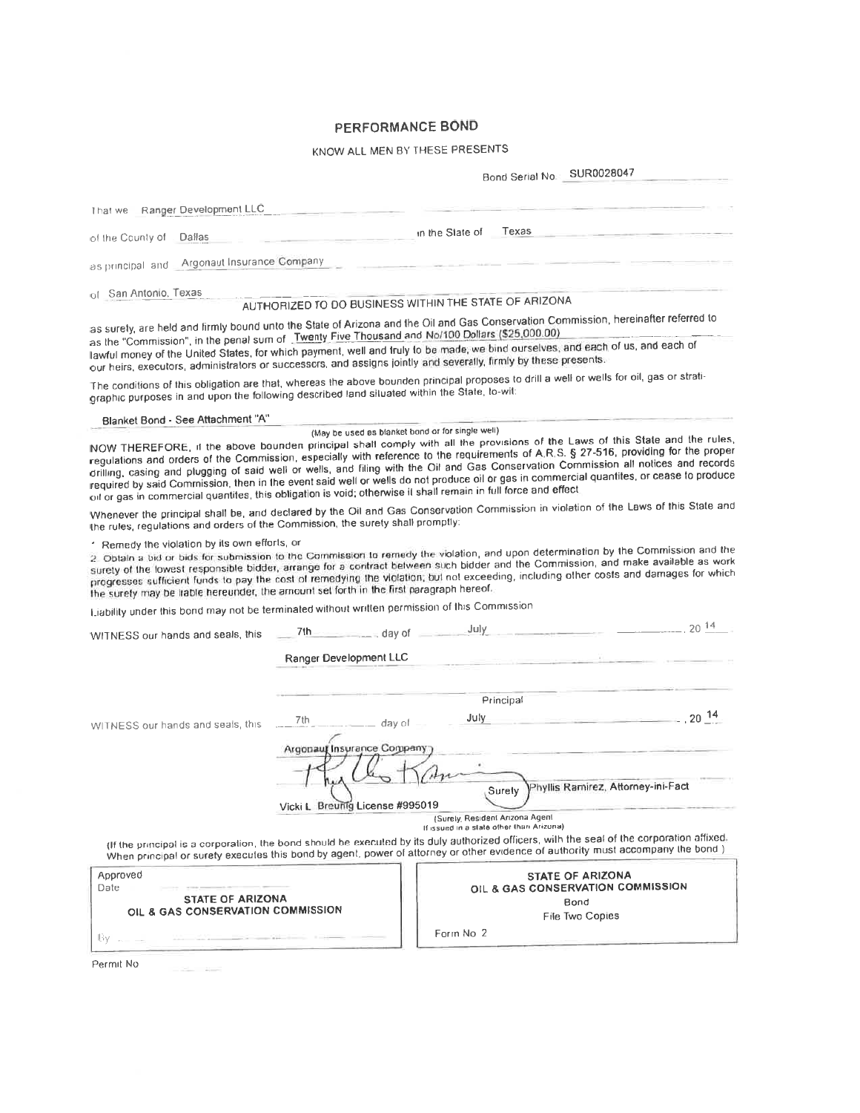# PERFORMANCE BOND

# KNOW ALL MEN BY THESE PRESENTS

|                                                                                                                                                                                                                                                                                                                                                                                                                                                                                                                                                                                                                                                                            |                                                       |                                          |                                 | Bond Serial No. SUR0028047         |                   |
|----------------------------------------------------------------------------------------------------------------------------------------------------------------------------------------------------------------------------------------------------------------------------------------------------------------------------------------------------------------------------------------------------------------------------------------------------------------------------------------------------------------------------------------------------------------------------------------------------------------------------------------------------------------------------|-------------------------------------------------------|------------------------------------------|---------------------------------|------------------------------------|-------------------|
|                                                                                                                                                                                                                                                                                                                                                                                                                                                                                                                                                                                                                                                                            |                                                       |                                          |                                 |                                    |                   |
| Ranger Development LLC<br>That we                                                                                                                                                                                                                                                                                                                                                                                                                                                                                                                                                                                                                                          |                                                       |                                          |                                 |                                    |                   |
| Dallas<br>of the County of                                                                                                                                                                                                                                                                                                                                                                                                                                                                                                                                                                                                                                                 |                                                       | in the State of                          | Texas                           |                                    |                   |
| Argonaut Insurance Company<br>as principal and                                                                                                                                                                                                                                                                                                                                                                                                                                                                                                                                                                                                                             |                                                       |                                          |                                 |                                    |                   |
| of San Antonio, Texas                                                                                                                                                                                                                                                                                                                                                                                                                                                                                                                                                                                                                                                      | AUTHORIZED TO DO BUSINESS WITHIN THE STATE OF ARIZONA |                                          |                                 |                                    |                   |
|                                                                                                                                                                                                                                                                                                                                                                                                                                                                                                                                                                                                                                                                            |                                                       |                                          |                                 |                                    |                   |
| as surety, are held and firmly bound unto the State of Arizona and the Oil and Gas Conservation Commission, hereinafter referred to<br>as the "Commission", in the penal sum of Twenty Five Thousand and No/100 Dollars (\$25,000.00)<br>lawful money of the United States, for which payment, well and truly to be made, we bind ourselves, and each of us, and each of<br>our heirs, executors, administrators or successors, and assigns jointly and severally, firmly by these presents.                                                                                                                                                                               |                                                       |                                          |                                 |                                    |                   |
| The conditions of this obligation are that, whereas the above bounden principal proposes to drill a well or wells for oil, gas or strati-<br>graphic purposes in and upon the following described land siluated within the State, lo-wit:                                                                                                                                                                                                                                                                                                                                                                                                                                  |                                                       |                                          |                                 |                                    |                   |
| Blanket Bond - See Attachment "A"                                                                                                                                                                                                                                                                                                                                                                                                                                                                                                                                                                                                                                          |                                                       |                                          |                                 |                                    |                   |
| NOW THEREFORE, if the above bounden principal shall comply with all the provisions of the Laws of this State and the rules,<br>regulations and orders of the Commission, especially with reference to the requirements of A.R.S. § 27-516, providing for the proper<br>drilling, casing and plugging of said well or wells, and filing with the Oil and Gas Conservation Commission all notices and records<br>required by said Commission, then in the event said well or wells do not produce oil or gas in commercial quantites, or cease to produce<br>oil or gas in commercial quantites, this obligation is void; otherwise it shall remain in full force and effect | (May be used as blanket bond or for single well)      |                                          |                                 |                                    |                   |
| Whenever the principal shall be, and declared by the Oil and Gas Conservation Commission in violation of the Laws of this State and<br>the rules, regulations and orders of the Commission, the surety shall promptly:                                                                                                                                                                                                                                                                                                                                                                                                                                                     |                                                       |                                          |                                 |                                    |                   |
| * Remedy the violation by its own efforts, or<br>2. Obtain a bid or bids for submission to the Commission to remedy the violation, and upon determination by the Commission and the<br>surety of the lowest responsible bidder, arrange for a contract between such bidder and the Commission, and make available as work<br>progresses sufficient funds to pay the cost of remedying the violation, but not exceeding, including other costs and damages for which<br>the surety may be trable hereunder, the amount set forth in the first paragraph hereof,                                                                                                             |                                                       |                                          |                                 |                                    |                   |
| Liability under this bond may not be terminated without written permission of this Commission                                                                                                                                                                                                                                                                                                                                                                                                                                                                                                                                                                              |                                                       |                                          |                                 |                                    |                   |
| WITNESS our hands and seals, this                                                                                                                                                                                                                                                                                                                                                                                                                                                                                                                                                                                                                                          | $7th$ $\sim$ day of                                   | July.                                    |                                 |                                    | $\sim$ 20 $^{14}$ |
|                                                                                                                                                                                                                                                                                                                                                                                                                                                                                                                                                                                                                                                                            | Ranger Development LLC                                |                                          |                                 |                                    |                   |
|                                                                                                                                                                                                                                                                                                                                                                                                                                                                                                                                                                                                                                                                            |                                                       |                                          |                                 |                                    |                   |
|                                                                                                                                                                                                                                                                                                                                                                                                                                                                                                                                                                                                                                                                            |                                                       |                                          | Principal                       |                                    |                   |
| WITNESS our hands and seals, this                                                                                                                                                                                                                                                                                                                                                                                                                                                                                                                                                                                                                                          | 7th<br>day of                                         | July                                     |                                 |                                    | $-20^{14}$        |
|                                                                                                                                                                                                                                                                                                                                                                                                                                                                                                                                                                                                                                                                            | Argonauf Insurance Company                            |                                          |                                 |                                    |                   |
|                                                                                                                                                                                                                                                                                                                                                                                                                                                                                                                                                                                                                                                                            |                                                       |                                          |                                 |                                    |                   |
|                                                                                                                                                                                                                                                                                                                                                                                                                                                                                                                                                                                                                                                                            |                                                       |                                          |                                 | Phyllis Ramirez, Attorney-ini-Fact |                   |
|                                                                                                                                                                                                                                                                                                                                                                                                                                                                                                                                                                                                                                                                            |                                                       |                                          | Surely                          |                                    |                   |
|                                                                                                                                                                                                                                                                                                                                                                                                                                                                                                                                                                                                                                                                            | Vicki L Breuflig License #995019                      |                                          | (Surely, Resident Arizona Agent |                                    |                   |
|                                                                                                                                                                                                                                                                                                                                                                                                                                                                                                                                                                                                                                                                            |                                                       | If issued in a state other than Arizona) |                                 |                                    |                   |
| (If the principal is a corporation, the bond should be executed by its duly authorized officers, wilh the seal of the corporation affixed,<br>When principal or surety executes this bond by agent, power of attorney or other evidence of authority must accompany the bond)                                                                                                                                                                                                                                                                                                                                                                                              |                                                       |                                          |                                 |                                    |                   |
| Approved                                                                                                                                                                                                                                                                                                                                                                                                                                                                                                                                                                                                                                                                   |                                                       |                                          |                                 | <b>STATE OF ARIZONA</b>            |                   |
| Date<br><b>STATE OF ARIZONA</b>                                                                                                                                                                                                                                                                                                                                                                                                                                                                                                                                                                                                                                            |                                                       |                                          |                                 | OIL & GAS CONSERVATION COMMISSION  |                   |
| OIL & GAS CONSERVATION COMMISSION                                                                                                                                                                                                                                                                                                                                                                                                                                                                                                                                                                                                                                          |                                                       |                                          |                                 | Bond<br>File Two Copies            |                   |
| Вγ…                                                                                                                                                                                                                                                                                                                                                                                                                                                                                                                                                                                                                                                                        |                                                       | Form No 2                                |                                 |                                    |                   |
|                                                                                                                                                                                                                                                                                                                                                                                                                                                                                                                                                                                                                                                                            |                                                       |                                          |                                 |                                    |                   |

Permit No and the control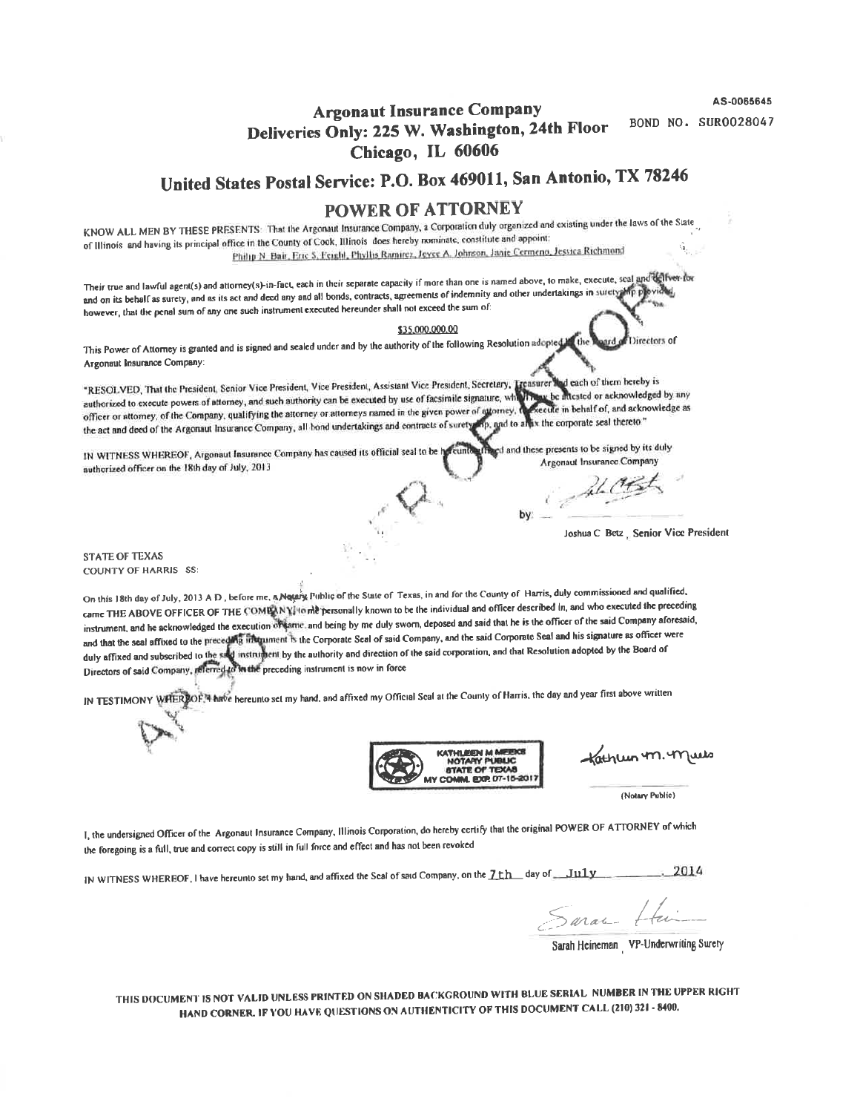AS-0065645

**BOND NO. SUR0028047** 

# **Argonaut Insurance Company** Deliveries Only: 225 W. Washington, 24th Floor Chicago, IL 60606

United States Postal Service: P.O. Box 469011, San Antonio, TX 78246

# **POWER OF ATTORNEY**

KNOW ALL MEN BY THESE PRESENTS: That the Argonaut Insurance Company, a Corporation duly organized and existing under the laws of the State of Illinois and having its principal office in the County of Cook, Illinois does hereby nominate, constitute and appoint: Philip N. Bair, Eric S. Feighl, Phyllis Ramirez, Joyce A. Johnson, Janje Cermeno, Jessica Richmond

Their true and lawful agent(s) and attorney(s) in-fact, each in their separate capacity if more than one is named above, to make, execute, seal and the fiver-for and on its behalf as surety, and as its act and deed any and all bonds, contracts, agreements of indemnity and other undertakings in surety and plovided however, that the penal sum of any one such instrument executed hereunder shall not exceed the sum of:

#### \$35,000,000.00

This Power of Attorney is granted and is signed and sealed under and by the authority of the following Resolution adopted. The Directors of Argonaut Insurance Company:

d each of them hereby is \*RESOLVED, That the President, Senior Vice President, Vice President, Assistant Vice President, Secretary, Treasurer authorized to execute powers of attorney, and such authority can be executed by use of facsimile signature, which is a the intested or acknowledged by any ecute in behalf of, and acknowledge as officer or attorney, of the Company, qualifying the attorney or attorneys named in the given power of attorney, the act and deed of the Argonaut Insurance Company, all bond undertakings and contracts of surety mp, and to a mix the corporate seal thereto."

and and these presents to be signed by its duly IN WITNESS WHEREOF, Argonaut Insurance Company has caused its official seal to be h Argonaut Insurance Company authorized officer on the 18th day of July, 2013

Al OBt

Joshua C Betz Genior Vice President

**STATE OF TEXAS COUNTY OF HARRIS SS** 

On this 18th day of July, 2013 A D, before me, a Netary Public of the State of Texas, in and for the County of Harris, duly commissioned and qualified, came THE ABOVE OFFICER OF THE COMEAN Y/to me personally known to be the individual and officer described in, and who executed the preceding instrument, and he acknowledged the execution of same, and being by me duly sworn, deposed and said that he is the officer of the said Company aforesaid, and that the seal affixed to the preceding inaquinent is the Corporate Seal of said Company, and the said Corporate Seal and his signature as officer were duly affixed and subscribed to the sect instrument by the authority and direction of the said corporation, and that Resolution adopted by the Board of Directors of said Company, elemed to he the preceding instrument is now in force

IN TESTIMONY WHERPOF,<sup>4</sup> have hereunto set my hand, and affixed my Official Scal at the County of Harris, the day and year first above written



Kathleen 4m. 4Maabs

(Notary Public)

I, the undersigned Officer of the Argonaut Insurance Company, Illinois Corporation, do hereby certify that the original POWER OF ATTORNEY of which the foregoing is a full, true and correct copy is still in full force and effect and has not been revoked

IN WITNESS WHEREOF, I have hereunto set my hand, and affixed the Seal of said Company, on the  $7$ th day of July  $.2014$ 

Sarac Hai

Sarah Heineman VP-Underwriting Surety

THIS DOCUMENT IS NOT VALID UNLESS PRINTED ON SHADED BACKGROUND WITH BLUE SERIAL NUMBER IN THE UPPER RIGHT HAND CORNER. IF YOU HAVE QUESTIONS ON AUTHENTICITY OF THIS DOCUMENT CALL (210) 321 - 8400.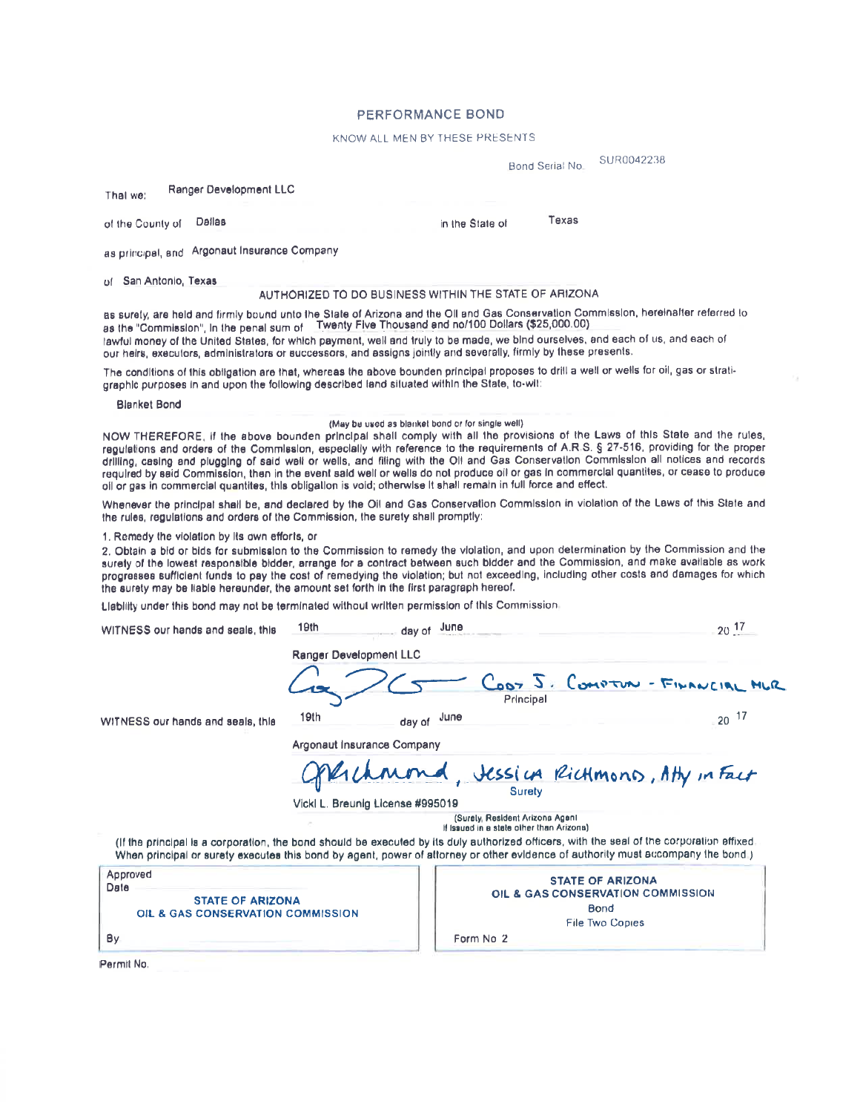#### **PERFORMANCE BOND**

#### KNOW ALL MEN BY THESE PRESENTS

in the State of

SUR0042238 Bond Serial No.

Texas

 $\overline{a}$ 

**Ranger Development LLC** That we:

of the County of Dallas

as principal, and Argonaut Insurance Company

of San Antonio, Texas

#### AUTHORIZED TO DO BUSINESS WITHIN THE STATE OF ARIZONA

as surety, are held and firmly bound unto the State of Arizona and the Oll and Gas Conservation Commission, hereinalter referred to as the "Commission", in the penal sum of Twenty Five Thousand and no/100 Dollars (\$25,000. lawful money of the United States, for which payment, well and truly to be made, we bind ourselves, and each of us, and each of our helrs, executors, administrators or successors, and assigns jointly and severally, firmly by these presents.

The conditions of this obligation are that, whereas the above bounden principal proposes to drill a well or wells for oil, gas or stratigraphic purposes in and upon the following described land situated within the State, to-wit:

**Blanket Bond** 

#### (May be used as blanket bond or for single well)

NOW THEREFORE, if the above bounden principal shall comply with all the provisions of the Laws of this State and the rules, regulations and orders of the Commission, especially with reference to the requirements of A.R.S. § 27-516, providing for the proper drilling, casing and plugging of said well or wells, and filing with the OII and Gas Conservation Commission all notices and records required by said Commission, then in the event said well or wells do not produce oil or gas in commercial quantites, or cease to produce oil or gas in commercial quantites, this obligation is void; otherwise it shall remain in full force and effect.

Whenever the principal shall be, and declared by the Oil and Gas Conservation Commission in violation of the Laws of this State and the rules, regulations and orders of the Commission, the surety shall promptly:

1. Remedy the violation by its own efforts, or

2. Obtain a bid or bids for submission to the Commission to remedy the violation, and upon determination by the Commission and the surely of the lowest responsible bidder, arrange for a contract between such bidder and the Commission, and make available as work progresses sufficient funds to pay the cost of remedying the violation; but not exceeding, including other costs and damages for which the surety may be liable hereunder, the amount set forth in the first paragraph hereof.

Liability under this bond may not be terminated without written permission of this Commission.

للمند

| WITNESS our hands and seals, this                                                | าษเท                       | June<br>day of                                                                                                                                                                                                                                                                | $20^{-17}$                      |
|----------------------------------------------------------------------------------|----------------------------|-------------------------------------------------------------------------------------------------------------------------------------------------------------------------------------------------------------------------------------------------------------------------------|---------------------------------|
|                                                                                  | Ranger Development LLC     |                                                                                                                                                                                                                                                                               |                                 |
|                                                                                  |                            | Principal                                                                                                                                                                                                                                                                     | CODY J. COMPTUN - FINANCIAL MUR |
| WITNESS our hands and seals, this                                                | 19th                       | June<br>day of                                                                                                                                                                                                                                                                | $20^{-17}$                      |
|                                                                                  | Argonaut Insurance Company |                                                                                                                                                                                                                                                                               |                                 |
|                                                                                  |                            | Operchmond, Jessius Richmond, Atty in Fact                                                                                                                                                                                                                                    |                                 |
|                                                                                  |                            | Vickl L. Breunig License #995019                                                                                                                                                                                                                                              |                                 |
|                                                                                  |                            | (Surely, Resident Arizona Agent<br>If Issued in a state other than Arizona)                                                                                                                                                                                                   |                                 |
|                                                                                  |                            | (if the principal is a corporation, the bond should be executed by its duly authorized officers, with the seal of the corporation effixed<br>When principal or surety executes this bond by agent, power of attorney or other evidence of authority must accompany the bond.) |                                 |
| Approved<br>Date<br><b>STATE OF ARIZONA</b><br>OIL & GAS CONSERVATION COMMISSION |                            | <b>STATE OF ARIZONA</b><br>OIL & GAS CONSERVATION COMMISSION<br>Bond<br><b>File Two Copies</b>                                                                                                                                                                                |                                 |
| By.                                                                              |                            | Form No 2                                                                                                                                                                                                                                                                     |                                 |

Permit No.